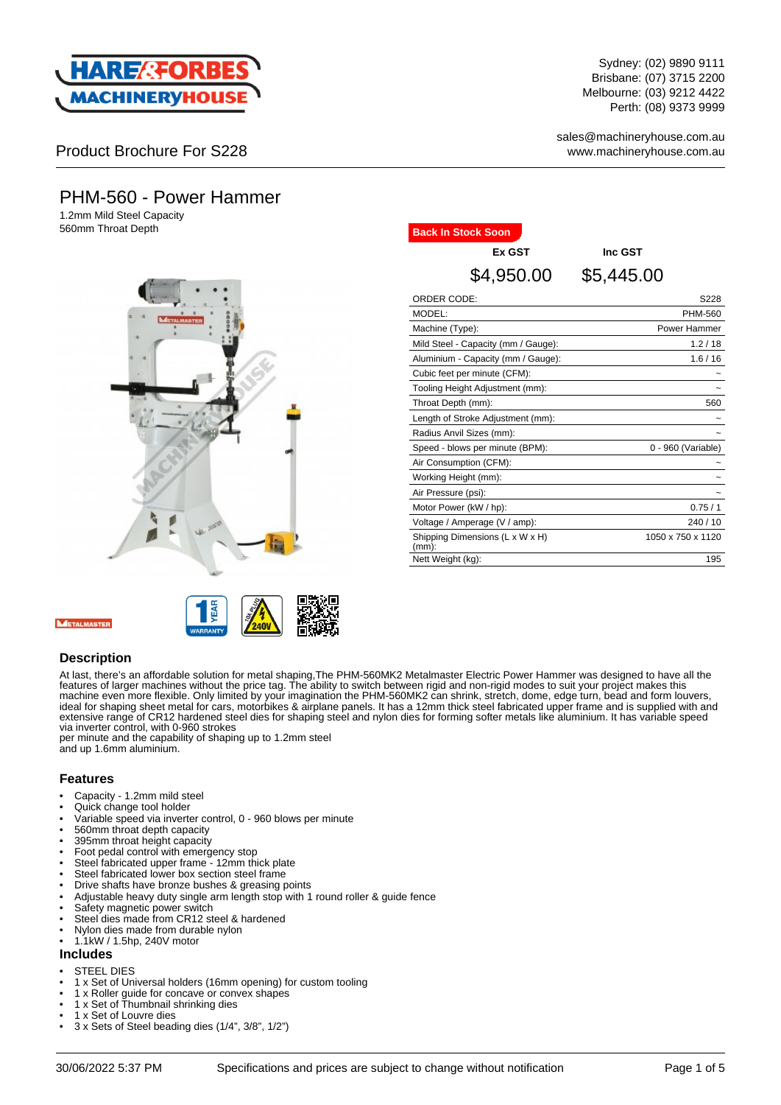

Sydney: (02) 9890 9111 Brisbane: (07) 3715 2200 Melbourne: (03) 9212 4422 Perth: (08) 9373 9999

sales@machineryhouse.com.au www.machineryhouse.com.au

## Product Brochure For S228

# PHM-560 - Power Hammer

1.2mm Mild Steel Capacity **560mm Throat Depth Back In Stock Soon** 





# **Ex GST Inc GST** \$4,950.00 \$5,445.00

| ORDER CODE:                                 | S228               |
|---------------------------------------------|--------------------|
| MODEL:                                      | PHM-560            |
| Machine (Type):                             | Power Hammer       |
| Mild Steel - Capacity (mm / Gauge):         | 1.2/18             |
| Aluminium - Capacity (mm / Gauge):          | 1.6/16             |
| Cubic feet per minute (CFM):                |                    |
| Tooling Height Adjustment (mm):             |                    |
| Throat Depth (mm):                          | 560                |
| Length of Stroke Adjustment (mm):           |                    |
| Radius Anvil Sizes (mm):                    |                    |
| Speed - blows per minute (BPM):             | 0 - 960 (Variable) |
| Air Consumption (CFM):                      |                    |
| Working Height (mm):                        |                    |
| Air Pressure (psi):                         |                    |
| Motor Power (kW / hp):                      | 0.75/1             |
| Voltage / Amperage (V / amp):               | 240 / 10           |
| Shipping Dimensions (L x W x H)<br>$(mm)$ : | 1050 x 750 x 1120  |
| Nett Weight (kg):                           | 195                |

#### **Description**

At last, there's an affordable solution for metal shaping,The PHM-560MK2 Metalmaster Electric Power Hammer was designed to have all the features of larger machines without the price tag. The ability to switch between rigid and non-rigid modes to suit your project makes this machine even more flexible. Only limited by your imagination the PHM-560MK2 can shrink, stretch, dome, edge turn, bead and form louvers, ideal for shaping sheet metal for cars, motorbikes & airplane panels. It has a 12mm thick steel fabricated upper frame and is supplied with and extensive range of CR12 hardened steel dies for shaping steel and nylon dies for forming softer metals like aluminium. It has variable speed via inverter control, with 0-960 strokes

per minute and the capability of shaping up to 1.2mm steel and up 1.6mm aluminium.

#### **Features**

- Capacity 1.2mm mild steel
- Quick change tool holder
- Variable speed via inverter control, 0 960 blows per minute
- 560mm throat depth capacity
- 395mm throat height capacity
- Foot pedal control with emergency stop
- Steel fabricated upper frame 12mm thick plate
- Steel fabricated lower box section steel frame • Drive shafts have bronze bushes & greasing points
- Adjustable heavy duty single arm length stop with 1 round roller & guide fence
- Safety magnetic power switch
- Steel dies made from CR12 steel & hardened
- Nylon dies made from durable nylon
- 1.1kW / 1.5hp, 240V motor

#### **Includes**

- **STEEL DIES**
- 1 x Set of Universal holders (16mm opening) for custom tooling
- 1 x Roller guide for concave or convex shapes
- 1 x Set of Thumbnail shrinking dies
- 1 x Set of Louvre dies
- 3 x Sets of Steel beading dies (1/4", 3/8", 1/2")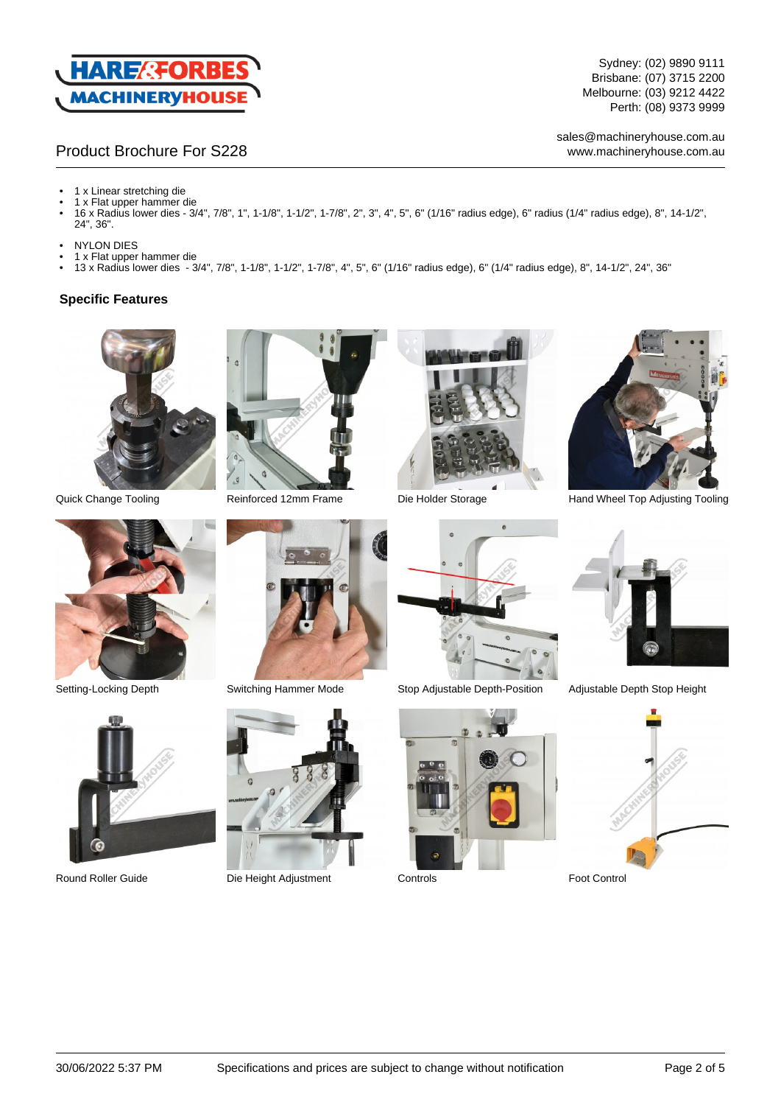

Sydney: (02) 9890 9111 Brisbane: (07) 3715 2200 Melbourne: (03) 9212 4422 Perth: (08) 9373 9999

## Product Brochure For S228

sales@machineryhouse.com.au www.machineryhouse.com.au

- 1 x Linear stretching die • 1 x Flat upper hammer die
- 16 x Radius lower dies 3/4", 7/8", 1", 1-1/8", 1-1/2", 1-7/8", 2", 3", 4", 5", 6" (1/16" radius edge), 6" radius (1/4" radius edge), 8", 14-1/2", 24", 36".
- NYLON DIES
- 1 x Flat upper hammer die
- 13 x Radius lower dies 3/4", 7/8", 1-1/8", 1-1/2", 1-7/8", 4", 5", 6" (1/16" radius edge), 6" (1/4" radius edge), 8", 14-1/2", 24", 36"

#### **Specific Features**













Round Roller Guide **Die Height Adjustment** Controls **Controls** Foot Control





Setting-Locking Depth Switching Hammer Mode Stop Adjustable Depth-Position Adjustable Depth Stop Height





Quick Change Tooling **Reinforced 12mm Frame** Die Holder Storage **Hand Wheel Top Adjusting Tooling** 



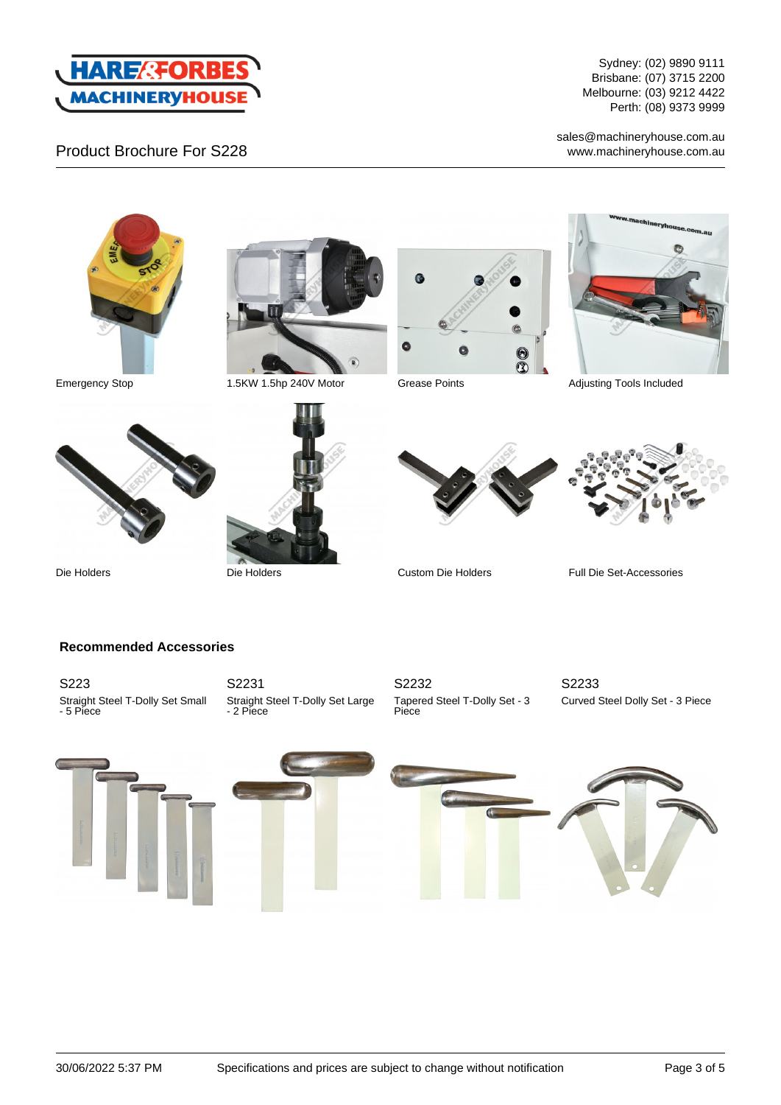

Product Brochure For S228

Sydney: (02) 9890 9111 Brisbane: (07) 3715 2200 Melbourne: (03) 9212 4422 Perth: (08) 9373 9999

 $\bullet$ 

sales@machineryhouse.com.au www.machineryhouse.com.au







Emergency Stop 1.5KW 1.5hp 240V Motor Grease Points Adjusting Tools Included







Die Holders Die Holders Custom Die Holders Full Die Set-Accessories

## **Recommended Accessories**

S223 Straight Steel T-Dolly Set Small - 5 Piece

S2231 Straight Steel T-Dolly Set Large - 2 Piece

S2232 Tapered Steel T-Dolly Set - 3 Piece

S2233 Curved Steel Dolly Set - 3 Piece

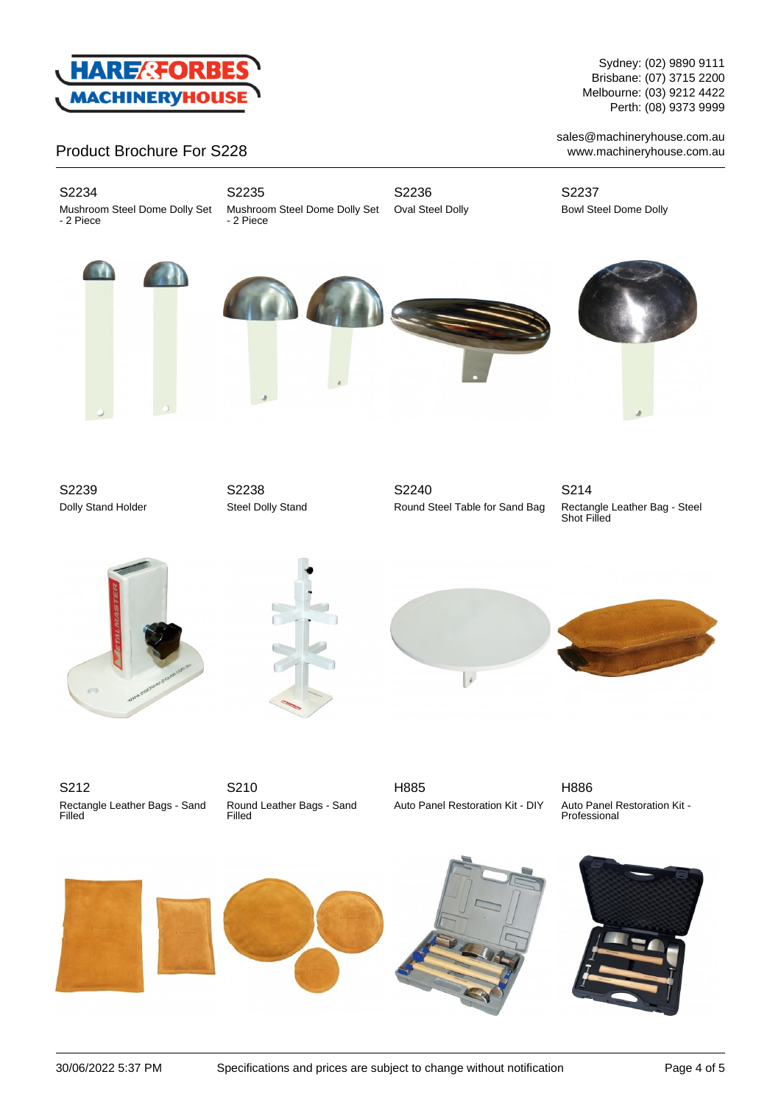

## Product Brochure For S228

S2234

Mushroom Steel Dome Dolly Set - 2 Piece

S2235 Mushroom Steel Dome Dolly Set - 2 Piece

S2236 Oval Steel Dolly

S2237 Bowl Steel Dome Dolly









Sydney: (02) 9890 9111 Brisbane: (07) 3715 2200 Melbourne: (03) 9212 4422 Perth: (08) 9373 9999

sales@machineryhouse.com.au www.machineryhouse.com.au

S2239 Dolly Stand Holder

S2238 Steel Dolly Stand

S2240 Round Steel Table for Sand Bag

S214 Rectangle Leather Bag - Steel Shot Filled









S212 Rectangle Leather Bags - Sand Filled

S210 Round Leather Bags - Sand Filled

H885 Auto Panel Restoration Kit - DIY H886 Auto Panel Restoration Kit - Professional